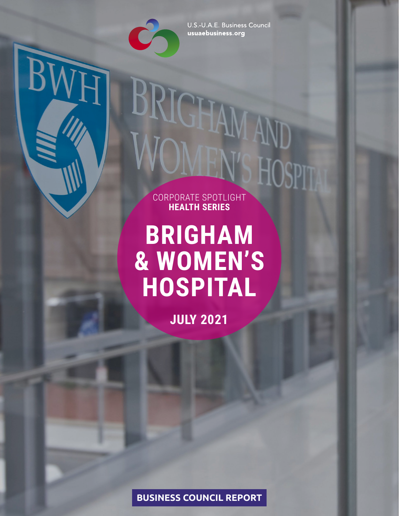

U.S.-U.A.E. Business Council usuaebusiness.org

## **BUSINESS COUNCIL REPORT**

**BRIGHAM & WOMEN'S HOSPITAL**

CORPORATE SPOTLIGHT **HEALTH SERIES**

**JULY 2021**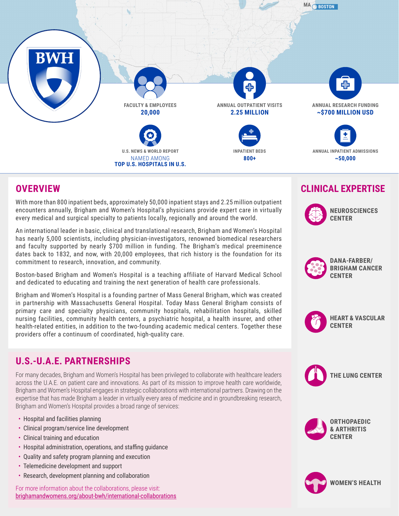## **OVERVIEW**

With more than 800 inpatient beds, approximately 50,000 inpatient stays and 2.25 million outpatient encounters annually, Brigham and Women's Hospital's physicians provide expert care in virtually every medical and surgical specialty to patients locally, regionally and around the world.

An international leader in basic, clinical and translational research, Brigham and Women's Hospital has nearly 5,000 scientists, including physician-investigators, renowned biomedical researchers and faculty supported by nearly \$700 million in funding. The Brigham's medical preeminence dates back to 1832, and now, with 20,000 employees, that rich history is the foundation for its commitment to research, innovation, and community.

Boston-based Brigham and Women's Hospital is a teaching affiliate of Harvard Medical School and dedicated to educating and training the next generation of health care professionals.

Brigham and Women's Hospital is a founding partner of Mass General Brigham, which was created in partnership with Massachusetts General Hospital. Today Mass General Brigham consists of primary care and specialty physicians, community hospitals, rehabilitation hospitals, skilled nursing facilities, community health centers, a psychiatric hospital, a health insurer, and other health-related entities, in addition to the two-founding academic medical centers. Together these providers offer a continuum of coordinated, high-quality care.

## **CLINICAL EXPERTISE**

# **U.S.-U.A.E. PARTNERSHIPS**

For many decades, Brigham and Women's Hospital has been privileged to collaborate with healthcare leaders across the U.A.E. on patient care and innovations. As part of its mission to improve health care worldwide, Brigham and Women's Hospital engages in strategic collaborations with international partners. Drawing on the expertise that has made Brigham a leader in virtually every area of medicine and in groundbreaking research, Brigham and Women's Hospital provides a broad range of services:

- Hospital and facilities planning
- Clinical program/service line development
- Clinical training and education
- Hospital administration, operations, and staffing guidance
- Quality and safety program planning and execution
- Telemedicine development and support
- Research, development planning and collaboration

For more information about the collaborations, please visit: brighamandwomens.org/about-bwh/international-collaborations













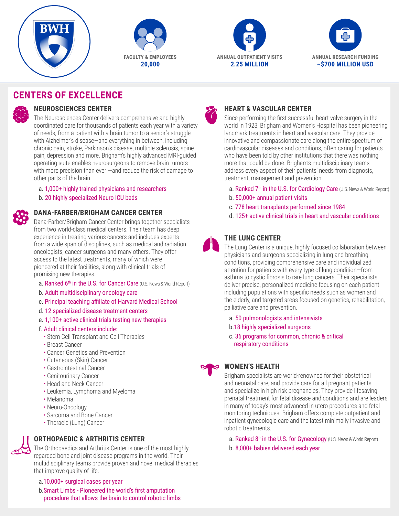# **CENTERS OF EXCELLENCE**



### **NEUROSCIENCES CENTER**

The Neurosciences Center delivers comprehensive and highly coordinated care for thousands of patients each year with a variety of needs, from a patient with a brain tumor to a senior's struggle with Alzheimer's disease—and everything in between, including chronic pain, stroke, Parkinson's disease, multiple sclerosis, spine pain, depression and more. Brigham's highly advanced MRI-guided operating suite enables neurosurgeons to remove brain tumors with more precision than ever —and reduce the risk of damage to other parts of the brain.

- a. 1,000+ highly trained physicians and researchers
- b. 20 highly specialized Neuro ICU beds

## **HEART & VASCULAR CENTER**

- a. Ranked 7<sup>th</sup> in the U.S. for Cardiology Care (U.S. News & World Report)
- b. 50,000+ annual patient visits
- c. 778 heart transplants performed since 1984
- 

Since performing the first successful heart valve surgery in the world in 1923, Brigham and Women's Hospital has been pioneering landmark treatments in heart and vascular care. They provide innovative and compassionate care along the entire spectrum of cardiovascular diseases and conditions, often caring for patients who have been told by other institutions that there was nothing more that could be done. Brigham's multidisciplinary teams address every aspect of their patients' needs from diagnosis, treatment, management and prevention.

- a. Ranked 6<sup>th</sup> in the U.S. for Cancer Care (U.S. News & World Report)
- b. Adult multidisciplinary oncology care

## d. 125+ active clinical trials in heart and vascular conditions **DANA-FARBER/BRIGHAM CANCER CENTER**

Dana-Farber/Brigham Cancer Center brings together specialists from two world-class medical centers. Their team has deep experience in treating various cancers and includes experts from a wide span of disciplines, such as medical and radiation oncologists, cancer surgeons and many others. They offer access to the latest treatments, many of which were pioneered at their facilities, along with clinical trials of promising new therapies.

> a. Ranked 8<sup>th</sup> in the U.S. for Gynecology (U.S. News & World Report) b. 8,000+ babies delivered each year

- c. Principal teaching affiliate of Harvard Medical School
- d. 12 specialized disease treatment centers
- e. 1,100+ active clinical trials testing new therapies
- f. Adult clinical centers include:
	- Stem Cell Transplant and Cell Therapies
	- Breast Cancer
	- Cancer Genetics and Prevention
	- Cutaneous (Skin) Cancer
	- Gastrointestinal Cancer
	- Genitourinary Cancer
	- Head and Neck Cancer
	- Leukemia, Lymphoma and Myeloma
	- Melanoma
	- Neuro-Oncology
	- Sarcoma and Bone Cancer
	- Thoracic (Lung) Cancer

## **THE LUNG CENTER**

The Lung Center is a unique, highly focused collaboration between physicians and surgeons specializing in lung and breathing conditions, providing comprehensive care and individualized attention for patients with every type of lung condition—from asthma to cystic fibrosis to rare lung cancers. Their specialists deliver precise, personalized medicine focusing on each patient including populations with specific needs such as women and the elderly, and targeted areas focused on genetics, rehabilitation, palliative care and prevention.

- a. 50 pulmonologists and intensivists
- b.18 highly specialized surgeons
- c. 36 programs for common, chronic & critical respiratory conditions



## **WOMEN'S HEALTH**

Brigham specialists are world-renowned for their obstetrical and neonatal care, and provide care for all pregnant patients and specialize in high risk pregnancies. They provide lifesaving prenatal treatment for fetal disease and conditions and are leaders in many of today's most advanced in utero procedures and fetal monitoring techniques. Brigham offers complete outpatient and inpatient gynecologic care and the latest minimally invasive and robotic treatments.

## **ORTHOPAEDIC & ARTHRITIS CENTER**



The Orthopaedics and Arthritis Center is one of the most highly regarded bone and joint disease programs in the world. Their multidisciplinary teams provide proven and novel medical therapies that improve quality of life.

a.10,000+ surgical cases per year

b.Smart Limbs - Pioneered the world's first amputation procedure that allows the brain to control robotic limbs

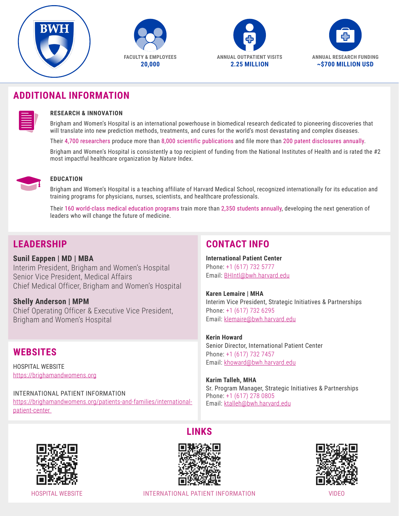## **ADDITIONAL INFORMATION**

| $\sim$ $\sim$<br>the control of the control of the control of the control of the control of<br>______<br>______ |  |
|-----------------------------------------------------------------------------------------------------------------|--|
|                                                                                                                 |  |

#### **RESEARCH & INNOVATION**

Brigham and Women's Hospital is an international powerhouse in biomedical research dedicated to pioneering discoveries that will translate into new prediction methods, treatments, and cures for the world's most devastating and complex diseases.

Their 4,700 researchers produce more than 8,000 scientific publications and file more than 200 patent disclosures annually.

Brigham and Women's Hospital is consistently a top recipient of funding from the National Institutes of Health and is rated the #2 most impactful healthcare organization by *Nature* Index.



#### **EDUCATION**

Brigham and Women's Hospital is a teaching affiliate of Harvard Medical School, recognized internationally for its education and training programs for physicians, nurses, scientists, and healthcare professionals.

Their 160 world-class medical education programs train more than 2,350 students annually, developing the next generation of leaders who will change the future of medicine.

## **LEADERSHIP**

**Sunil Eappen | MD | MBA** Interim President, Brigham and Women's Hospital Senior Vice President, Medical Affairs Chief Medical Officer, Brigham and Women's Hospital

**Shelly Anderson | MPM** Chief Operating Officer & Executive Vice President, Brigham and Women's Hospital

# **WEBSITES**

HOSPITAL WEBSITE https://brighamandwomens.org

#### INTERNATIONAL PATIENT INFORMATION https://brighamandwomens.org/patients-and-families/internationalpatient-center

**LINKS**

# **CONTACT INFO**

**International Patient Center**  Phone: +1 (617) 732 5777 Email: BHIntl@bwh.harvard.edu

**Karen Lemaire | MHA** Interim Vice President, Strategic Initiatives & Partnerships Phone: +1 (617) 732 6295 Email: klemaire@bwh.harvard.edu

**Kerin Howard**  Senior Director, International Patient Center Phone: +1 (617) 732 7457 Email: khoward@bwh.harvard.edu

**Karim Talleh, MHA** Sr. Program Manager, Strategic Initiatives & Partnerships Phone: +1 (617) 278 0805 Email: ktalleh@bwh.harvard.edu